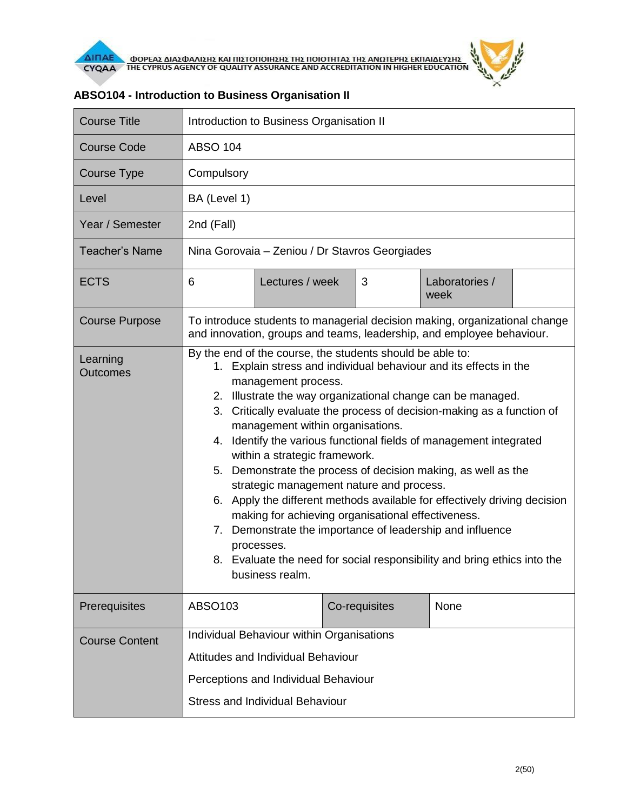

| <b>Course Title</b>         | Introduction to Business Organisation II                                                                                                                                                                                                                                                                                                                                                                                                                                                                                                                                                                                                                                                                                                                                                                                                                            |                 |  |               |                        |  |
|-----------------------------|---------------------------------------------------------------------------------------------------------------------------------------------------------------------------------------------------------------------------------------------------------------------------------------------------------------------------------------------------------------------------------------------------------------------------------------------------------------------------------------------------------------------------------------------------------------------------------------------------------------------------------------------------------------------------------------------------------------------------------------------------------------------------------------------------------------------------------------------------------------------|-----------------|--|---------------|------------------------|--|
| <b>Course Code</b>          | <b>ABSO 104</b>                                                                                                                                                                                                                                                                                                                                                                                                                                                                                                                                                                                                                                                                                                                                                                                                                                                     |                 |  |               |                        |  |
| <b>Course Type</b>          | Compulsory                                                                                                                                                                                                                                                                                                                                                                                                                                                                                                                                                                                                                                                                                                                                                                                                                                                          |                 |  |               |                        |  |
| Level                       | BA (Level 1)                                                                                                                                                                                                                                                                                                                                                                                                                                                                                                                                                                                                                                                                                                                                                                                                                                                        |                 |  |               |                        |  |
| Year / Semester             | 2nd (Fall)                                                                                                                                                                                                                                                                                                                                                                                                                                                                                                                                                                                                                                                                                                                                                                                                                                                          |                 |  |               |                        |  |
| <b>Teacher's Name</b>       | Nina Gorovaia - Zeniou / Dr Stavros Georgiades                                                                                                                                                                                                                                                                                                                                                                                                                                                                                                                                                                                                                                                                                                                                                                                                                      |                 |  |               |                        |  |
| <b>ECTS</b>                 | 6                                                                                                                                                                                                                                                                                                                                                                                                                                                                                                                                                                                                                                                                                                                                                                                                                                                                   | Lectures / week |  | 3             | Laboratories /<br>week |  |
| <b>Course Purpose</b>       | To introduce students to managerial decision making, organizational change<br>and innovation, groups and teams, leadership, and employee behaviour.                                                                                                                                                                                                                                                                                                                                                                                                                                                                                                                                                                                                                                                                                                                 |                 |  |               |                        |  |
| Learning<br><b>Outcomes</b> | By the end of the course, the students should be able to:<br>1. Explain stress and individual behaviour and its effects in the<br>management process.<br>2. Illustrate the way organizational change can be managed.<br>3. Critically evaluate the process of decision-making as a function of<br>management within organisations.<br>4. Identify the various functional fields of management integrated<br>within a strategic framework.<br>5. Demonstrate the process of decision making, as well as the<br>strategic management nature and process.<br>6. Apply the different methods available for effectively driving decision<br>making for achieving organisational effectiveness.<br>7. Demonstrate the importance of leadership and influence<br>processes.<br>8. Evaluate the need for social responsibility and bring ethics into the<br>business realm. |                 |  |               |                        |  |
| Prerequisites               | ABSO103                                                                                                                                                                                                                                                                                                                                                                                                                                                                                                                                                                                                                                                                                                                                                                                                                                                             |                 |  | Co-requisites | None                   |  |
| <b>Course Content</b>       | Individual Behaviour within Organisations<br>Attitudes and Individual Behaviour<br>Perceptions and Individual Behaviour<br><b>Stress and Individual Behaviour</b>                                                                                                                                                                                                                                                                                                                                                                                                                                                                                                                                                                                                                                                                                                   |                 |  |               |                        |  |

## **ABSO104 - Introduction to Business Organisation II**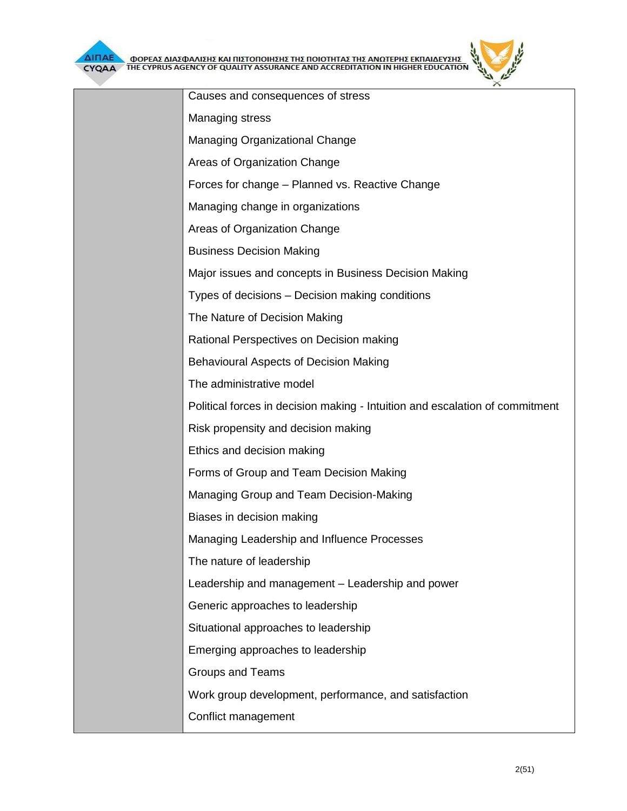| YQAA TIRE CTPROS AGENCT OF QOALITT ASSORANCE AND ACCREDITATION IN HIGHER EDUCATION |
|------------------------------------------------------------------------------------|
| Causes and consequences of stress                                                  |
| Managing stress                                                                    |
| <b>Managing Organizational Change</b>                                              |
| Areas of Organization Change                                                       |
| Forces for change - Planned vs. Reactive Change                                    |
| Managing change in organizations                                                   |
| Areas of Organization Change                                                       |
| <b>Business Decision Making</b>                                                    |
| Major issues and concepts in Business Decision Making                              |
| Types of decisions – Decision making conditions                                    |
| The Nature of Decision Making                                                      |
| Rational Perspectives on Decision making                                           |
| <b>Behavioural Aspects of Decision Making</b>                                      |
| The administrative model                                                           |
| Political forces in decision making - Intuition and escalation of commitment       |
| Risk propensity and decision making                                                |
| Ethics and decision making                                                         |
| Forms of Group and Team Decision Making                                            |
| Managing Group and Team Decision-Making                                            |
| Biases in decision making                                                          |
| Managing Leadership and Influence Processes                                        |
| The nature of leadership                                                           |
| Leadership and management - Leadership and power                                   |
| Generic approaches to leadership                                                   |
| Situational approaches to leadership                                               |
| Emerging approaches to leadership                                                  |
| <b>Groups and Teams</b>                                                            |
| Work group development, performance, and satisfaction                              |
| Conflict management                                                                |
|                                                                                    |